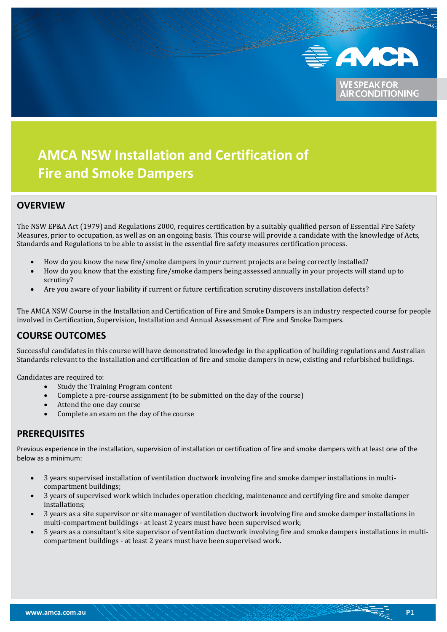

**IONING** 

# **AMCA NSW Installation and Certification of Fire and Smoke Dampers**

### **OVERVIEW**

l

The NSW EP&A Act (1979) and Regulations 2000, requires certification by a suitably qualified person of Essential Fire Safety Measures, prior to occupation, as well as on an ongoing basis. This course will provide a candidate with the knowledge of Acts, Standards and Regulations to be able to assist in the essential fire safety measures certification process.

- How do you know the new fire/smoke dampers in your current projects are being correctly installed?
- How do you know that the existing fire/smoke dampers being assessed annually in your projects will stand up to scrutiny?
- Are you aware of your liability if current or future certification scrutiny discovers installation defects?

The AMCA NSW Course in the Installation and Certification of Fire and Smoke Dampers is an industry respected course for people involved in Certification, Supervision, Installation and Annual Assessment of Fire and Smoke Dampers.

### **COURSE OUTCOMES**

Successful candidates in this course will have demonstrated knowledge in the application of building regulations and Australian Standards relevant to the installation and certification of fire and smoke dampers in new, existing and refurbished buildings.

Candidates are required to:

- Study the Training Program content
- Complete a pre-course assignment (to be submitted on the day of the course)
- Attend the one day course
- Complete an exam on the day of the course

### **PREREQUISITES**

Previous experience in the installation, supervision of installation or certification of fire and smoke dampers with at least one of the below as a minimum:

- 3 years supervised installation of ventilation ductwork involving fire and smoke damper installations in multicompartment buildings;
- 3 years of supervised work which includes operation checking, maintenance and certifying fire and smoke damper installations;
- 3 years as a site supervisor or site manager of ventilation ductwork involving fire and smoke damper installations in multi-compartment buildings - at least 2 years must have been supervised work;
- 5 years as a consultant's site supervisor of ventilation ductwork involving fire and smoke dampers installations in multicompartment buildings - at least 2 years must have been supervised work.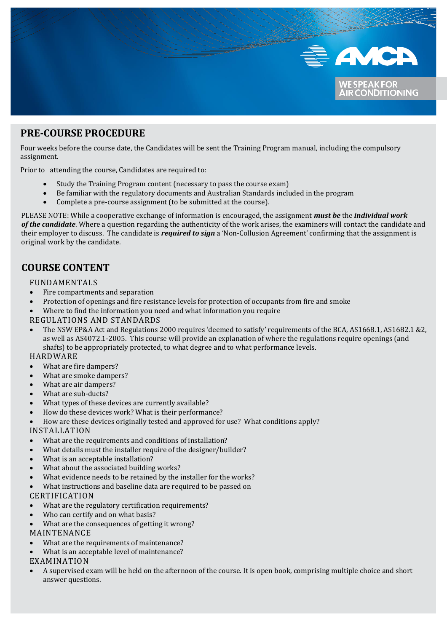

### **PRE-COURSE PROCEDURE**

Four weeks before the course date, the Candidates will be sent the Training Program manual, including the compulsory assignment.

Prior to attending the course, Candidates are required to:

- Study the Training Program content (necessary to pass the course exam)
- Be familiar with the regulatory documents and Australian Standards included in the program
- Complete a pre-course assignment (to be submitted at the course).

PLEASE NOTE: While a cooperative exchange of information is encouraged, the assignment *must be* the *individual work of the candidate*. Where a question regarding the authenticity of the work arises, the examiners will contact the candidate and their employer to discuss. The candidate is *required to sign* a 'Non-Collusion Agreement' confirming that the assignment is original work by the candidate.

### **COURSE CONTENT**

#### FUNDAMENTALS

- Fire compartments and separation
- Protection of openings and fire resistance levels for protection of occupants from fire and smoke
- Where to find the information you need and what information you require

#### REGULATIONS AND STANDARDS

• The NSW EP&A Act and Regulations 2000 requires 'deemed to satisfy' requirements of the BCA, AS1668.1, AS1682.1 &2, as well as AS4072.1-2005. This course will provide an explanation of where the regulations require openings (and shafts) to be appropriately protected, to what degree and to what performance levels.

#### HARDWARE

- What are fire dampers?
- What are smoke dampers?
- What are air dampers?
- What are sub-ducts?
- What types of these devices are currently available?
- How do these devices work? What is their performance?
- How are these devices originally tested and approved for use? What conditions apply?

#### INSTALLATION

- What are the requirements and conditions of installation?
- What details must the installer require of the designer/builder?
- What is an acceptable installation?
- What about the associated building works?
- What evidence needs to be retained by the installer for the works?
- What instructions and baseline data are required to be passed on

#### CERTIFICATION

- What are the regulatory certification requirements?
- Who can certify and on what basis?
- What are the consequences of getting it wrong?

#### MAINTENANCE

- What are the requirements of maintenance?
- What is an acceptable level of maintenance?

#### EXAMINATION

• A supervised exam will be held on the afternoon of the course. It is open book, comprising multiple choice and short answer questions.